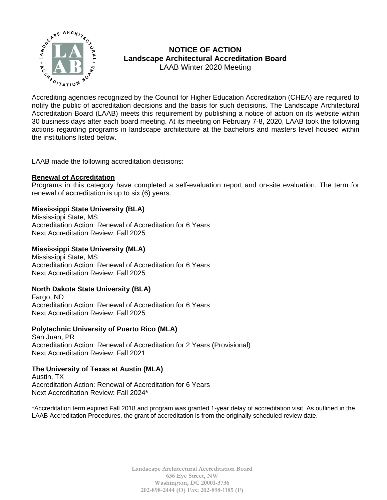

# **NOTICE OF ACTION Landscape Architectural Accreditation Board**  LAAB Winter 2020 Meeting

MOTICE OF ACTION<br>  $\sum_{k}^{n}$  MOTICE OF ACTION<br>
Landscape Architectural Accreditation Board<br>
LAAB Winter 2020 Meeting<br>
Accrediting agencies recognized by the Council for Higher Education Accreditation (CHEA) are required t notify the public of accreditation decisions and the basis for such decisions. The Landscape Architectural Accreditation Board (LAAB) meets this requirement by publishing a notice of action on its website within 30 business days after each board meeting. At its meeting on February 7-8, 2020, LAAB took the following actions regarding programs in landscape architecture at the bachelors and masters level housed within the institutions listed below.

LAAB made the following accreditation decisions:

## **Renewal of Accreditation**

Programs in this category have completed a self-evaluation report and on-site evaluation. The term for renewal of accreditation is up to six (6) years.

# **Mississippi State University (BLA)**

Mississippi State, MS Accreditation Action: Renewal of Accreditation for 6 Years Next Accreditation Review: Fall 2025

## **Mississippi State University (MLA)**

Mississippi State, MS Accreditation Action: Renewal of Accreditation for 6 Years Next Accreditation Review: Fall 2025

# **North Dakota State University (BLA)**

Fargo, ND Accreditation Action: Renewal of Accreditation for 6 Years Next Accreditation Review: Fall 2025

#### **Polytechnic University of Puerto Rico (MLA)**

San Juan, PR Accreditation Action: Renewal of Accreditation for 2 Years (Provisional) Next Accreditation Review: Fall 2021

#### **The University of Texas at Austin (MLA)**

Austin, TX Accreditation Action: Renewal of Accreditation for 6 Years Next Accreditation Review: Fall 2024\*

\*Accreditation term expired Fall 2018 and program was granted 1-year delay of accreditation visit. As outlined in the LAAB Accreditation Procedures, the grant of accreditation is from the originally scheduled review date.

> **Landscape Architectural Accreditation Board 636 Eye Street, NW Washington, DC 20001-3736 202-898-2444 (O) Fax: 202-898-1185 (F)**